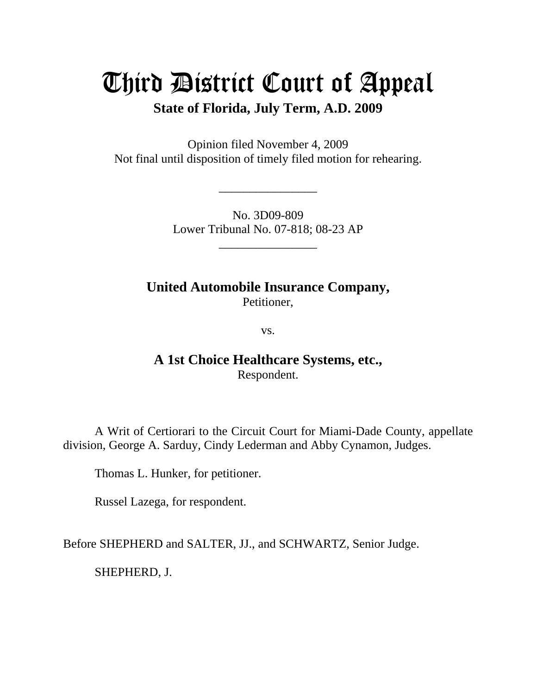## Third District Court of Appeal

**State of Florida, July Term, A.D. 2009** 

Opinion filed November 4, 2009 Not final until disposition of timely filed motion for rehearing.

> No. 3D09-809 Lower Tribunal No. 07-818; 08-23 AP

> > \_\_\_\_\_\_\_\_\_\_\_\_\_\_\_\_

\_\_\_\_\_\_\_\_\_\_\_\_\_\_\_\_

**United Automobile Insurance Company,**  Petitioner,

vs.

**A 1st Choice Healthcare Systems, etc.,**  Respondent.

 A Writ of Certiorari to the Circuit Court for Miami-Dade County, appellate division, George A. Sarduy, Cindy Lederman and Abby Cynamon, Judges.

Thomas L. Hunker, for petitioner.

Russel Lazega, for respondent.

Before SHEPHERD and SALTER, JJ., and SCHWARTZ, Senior Judge.

SHEPHERD, J.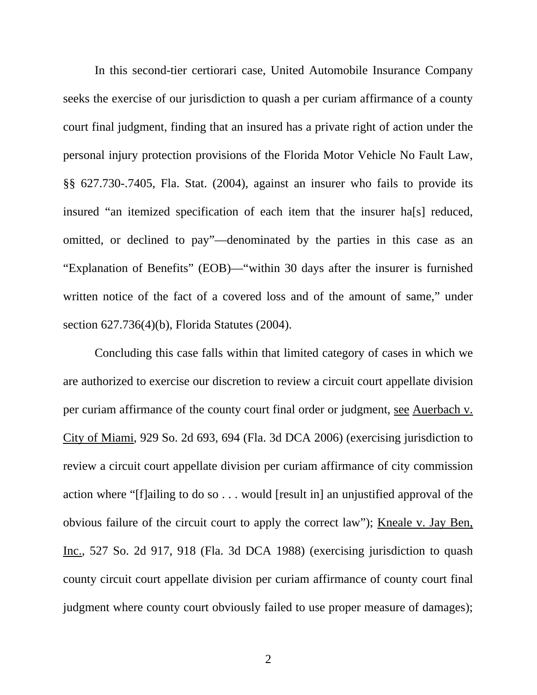In this second-tier certiorari case, United Automobile Insurance Company seeks the exercise of our jurisdiction to quash a per curiam affirmance of a county court final judgment, finding that an insured has a private right of action under the personal injury protection provisions of the Florida Motor Vehicle No Fault Law, §§ 627.730-.7405, Fla. Stat. (2004), against an insurer who fails to provide its insured "an itemized specification of each item that the insurer ha[s] reduced, omitted, or declined to pay"—denominated by the parties in this case as an "Explanation of Benefits" (EOB)—"within 30 days after the insurer is furnished written notice of the fact of a covered loss and of the amount of same," under section 627.736(4)(b), Florida Statutes (2004).

Concluding this case falls within that limited category of cases in which we are authorized to exercise our discretion to review a circuit court appellate division per curiam affirmance of the county court final order or judgment, see Auerbach v. City of Miami, 929 So. 2d 693, 694 (Fla. 3d DCA 2006) (exercising jurisdiction to review a circuit court appellate division per curiam affirmance of city commission action where "[f]ailing to do so . . . would [result in] an unjustified approval of the obvious failure of the circuit court to apply the correct law"); Kneale v. Jay Ben, Inc., 527 So. 2d 917, 918 (Fla. 3d DCA 1988) (exercising jurisdiction to quash county circuit court appellate division per curiam affirmance of county court final judgment where county court obviously failed to use proper measure of damages);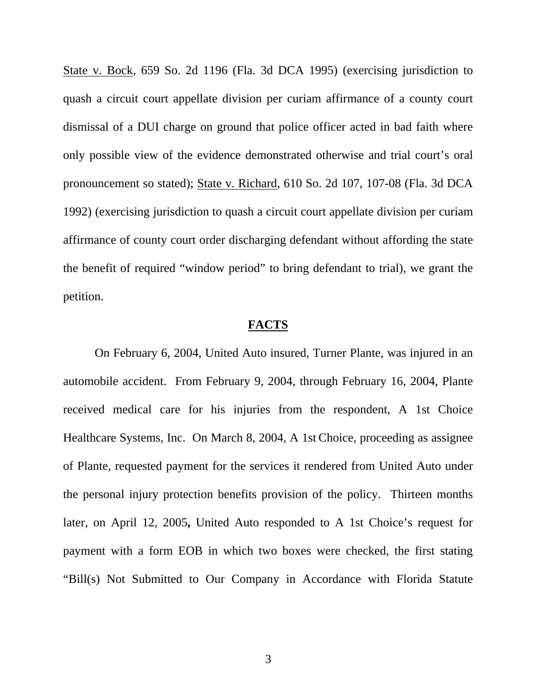State v. Bock, 659 So. 2d 1196 (Fla. 3d DCA 1995) (exercising jurisdiction to quash a circuit court appellate division per curiam affirmance of a county court dismissal of a DUI charge on ground that police officer acted in bad faith where only possible view of the evidence demonstrated otherwise and trial court's oral pronouncement so stated); State v. Richard, 610 So. 2d 107, 107-08 (Fla. 3d DCA 1992) (exercising jurisdiction to quash a circuit court appellate division per curiam affirmance of county court order discharging defendant without affording the state the benefit of required "window period" to bring defendant to trial), we grant the petition.

## **FACTS**

 On February 6, 2004, United Auto insured, Turner Plante, was injured in an automobile accident. From February 9, 2004, through February 16, 2004, Plante received medical care for his injuries from the respondent, A 1st Choice Healthcare Systems, Inc. On March 8, 2004, A 1st Choice, proceeding as assignee of Plante, requested payment for the services it rendered from United Auto under the personal injury protection benefits provision of the policy. Thirteen months later, on April 12, 2005**,** United Auto responded to A 1st Choice's request for payment with a form EOB in which two boxes were checked, the first stating "Bill(s) Not Submitted to Our Company in Accordance with Florida Statute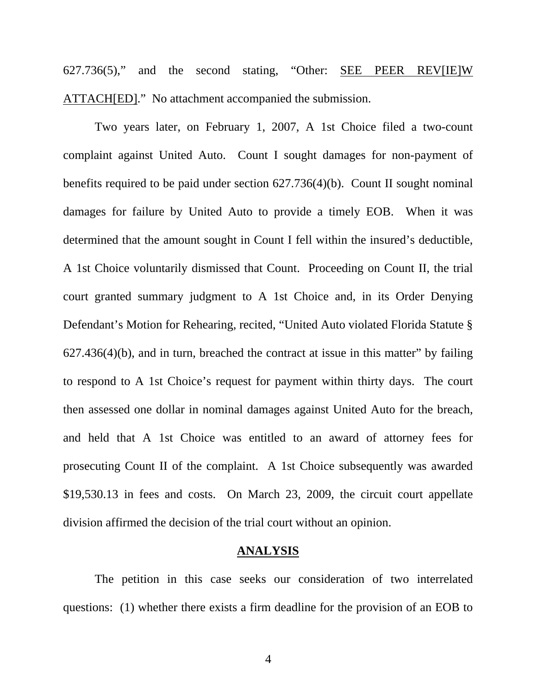627.736(5)," and the second stating, "Other: SEE PEER REV[IE]W ATTACH[ED]." No attachment accompanied the submission.

 Two years later, on February 1, 2007, A 1st Choice filed a two-count complaint against United Auto. Count I sought damages for non-payment of benefits required to be paid under section 627.736(4)(b). Count II sought nominal damages for failure by United Auto to provide a timely EOB. When it was determined that the amount sought in Count I fell within the insured's deductible, A 1st Choice voluntarily dismissed that Count. Proceeding on Count II, the trial court granted summary judgment to A 1st Choice and, in its Order Denying Defendant's Motion for Rehearing, recited, "United Auto violated Florida Statute § 627.436(4)(b), and in turn, breached the contract at issue in this matter" by failing to respond to A 1st Choice's request for payment within thirty days. The court then assessed one dollar in nominal damages against United Auto for the breach, and held that A 1st Choice was entitled to an award of attorney fees for prosecuting Count II of the complaint. A 1st Choice subsequently was awarded \$19,530.13 in fees and costs. On March 23, 2009, the circuit court appellate division affirmed the decision of the trial court without an opinion.

## **ANALYSIS**

 The petition in this case seeks our consideration of two interrelated questions: (1) whether there exists a firm deadline for the provision of an EOB to

4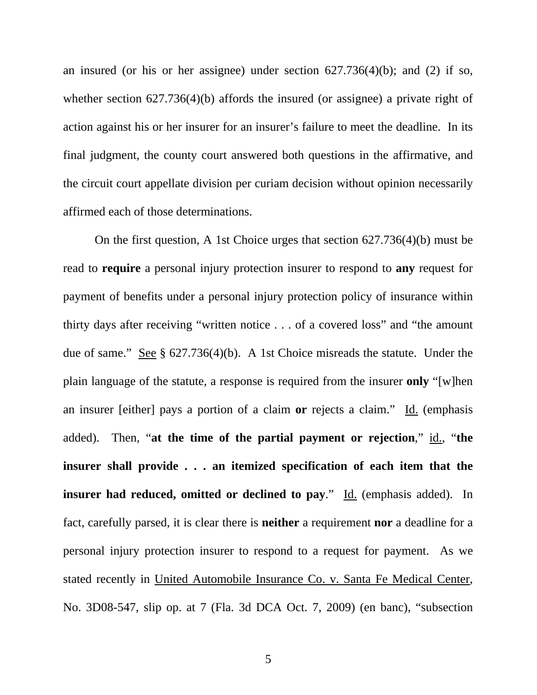an insured (or his or her assignee) under section 627.736(4)(b); and (2) if so, whether section 627.736(4)(b) affords the insured (or assignee) a private right of action against his or her insurer for an insurer's failure to meet the deadline. In its final judgment, the county court answered both questions in the affirmative, and the circuit court appellate division per curiam decision without opinion necessarily affirmed each of those determinations.

 On the first question, A 1st Choice urges that section 627.736(4)(b) must be read to **require** a personal injury protection insurer to respond to **any** request for payment of benefits under a personal injury protection policy of insurance within thirty days after receiving "written notice . . . of a covered loss" and "the amount due of same." See § 627.736(4)(b). A 1st Choice misreads the statute. Under the plain language of the statute, a response is required from the insurer **only** "[w]hen an insurer [either] pays a portion of a claim **or** rejects a claim." Id. (emphasis added). Then, "**at the time of the partial payment or rejection**," id., "**the insurer shall provide . . . an itemized specification of each item that the insurer had reduced, omitted or declined to pay**." Id. (emphasis added). In fact, carefully parsed, it is clear there is **neither** a requirement **nor** a deadline for a personal injury protection insurer to respond to a request for payment. As we stated recently in United Automobile Insurance Co. v. Santa Fe Medical Center, No. 3D08-547, slip op. at 7 (Fla. 3d DCA Oct. 7, 2009) (en banc), "subsection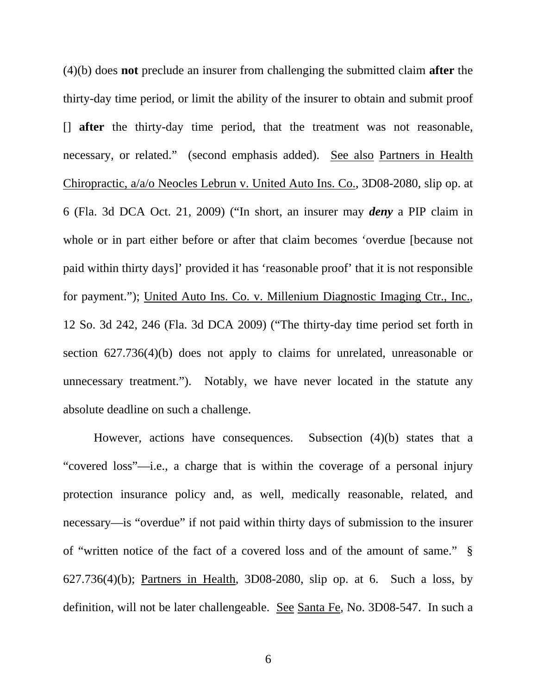(4)(b) does **not** preclude an insurer from challenging the submitted claim **after** the thirty-day time period, or limit the ability of the insurer to obtain and submit proof [] **after** the thirty-day time period, that the treatment was not reasonable, necessary, or related." (second emphasis added). See also Partners in Health Chiropractic, a/a/o Neocles Lebrun v. United Auto Ins. Co., 3D08-2080, slip op. at 6 (Fla. 3d DCA Oct. 21, 2009) ("In short, an insurer may *deny* a PIP claim in whole or in part either before or after that claim becomes 'overdue [because not paid within thirty days]' provided it has 'reasonable proof' that it is not responsible for payment."); United Auto Ins. Co. v. Millenium Diagnostic Imaging Ctr., Inc., 12 So. 3d 242, 246 (Fla. 3d DCA 2009) ("The thirty-day time period set forth in section 627.736(4)(b) does not apply to claims for unrelated, unreasonable or unnecessary treatment."). Notably, we have never located in the statute any absolute deadline on such a challenge.

However, actions have consequences. Subsection (4)(b) states that a "covered loss"—i.e., a charge that is within the coverage of a personal injury protection insurance policy and, as well, medically reasonable, related, and necessary—is "overdue" if not paid within thirty days of submission to the insurer of "written notice of the fact of a covered loss and of the amount of same." § 627.736(4)(b); Partners in Health, 3D08-2080, slip op. at 6. Such a loss, by definition, will not be later challengeable. See Santa Fe, No. 3D08-547. In such a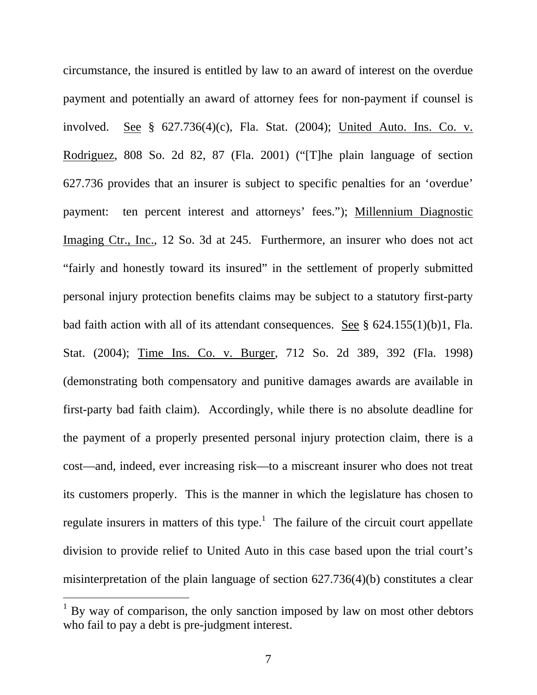circumstance, the insured is entitled by law to an award of interest on the overdue payment and potentially an award of attorney fees for non-payment if counsel is involved. See § 627.736(4)(c), Fla. Stat. (2004); United Auto. Ins. Co. v. Rodriguez, 808 So. 2d 82, 87 (Fla. 2001) ("[T]he plain language of section 627.736 provides that an insurer is subject to specific penalties for an 'overdue' payment: ten percent interest and attorneys' fees."); Millennium Diagnostic Imaging Ctr., Inc., 12 So. 3d at 245. Furthermore, an insurer who does not act "fairly and honestly toward its insured" in the settlement of properly submitted personal injury protection benefits claims may be subject to a statutory first-party bad faith action with all of its attendant consequences. See § 624.155(1)(b)1, Fla. Stat. (2004); Time Ins. Co. v. Burger, 712 So. 2d 389, 392 (Fla. 1998) (demonstrating both compensatory and punitive damages awards are available in first-party bad faith claim). Accordingly, while there is no absolute deadline for the payment of a properly presented personal injury protection claim, there is a cost—and, indeed, ever increasing risk—to a miscreant insurer who does not treat its customers properly. This is the manner in which the legislature has chosen to regulate insurers in matters of this type.<sup>1</sup> The failure of the circuit court appellate division to provide relief to United Auto in this case based upon the trial court's misinterpretation of the plain language of section 627.736(4)(b) constitutes a clear

-

 $1$  By way of comparison, the only sanction imposed by law on most other debtors who fail to pay a debt is pre-judgment interest.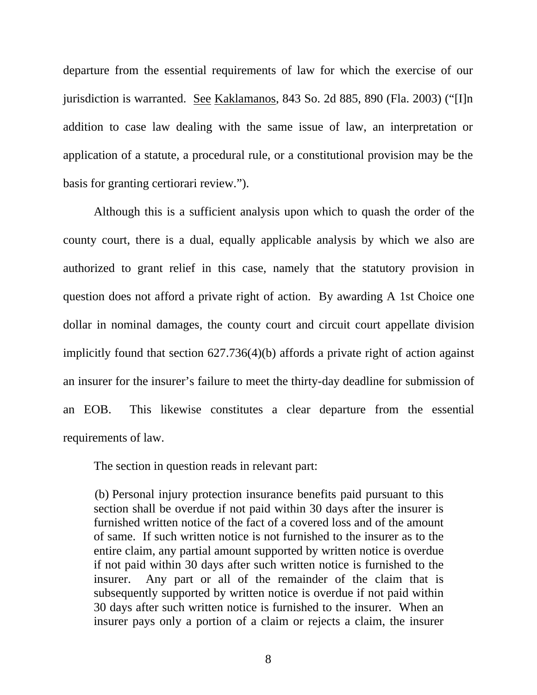departure from the essential requirements of law for which the exercise of our jurisdiction is warranted. See Kaklamanos, 843 So. 2d 885, 890 (Fla. 2003) ("[I]n addition to case law dealing with the same issue of law, an interpretation or application of a statute, a procedural rule, or a constitutional provision may be the basis for granting certiorari review.").

 Although this is a sufficient analysis upon which to quash the order of the county court, there is a dual, equally applicable analysis by which we also are authorized to grant relief in this case, namely that the statutory provision in question does not afford a private right of action. By awarding A 1st Choice one dollar in nominal damages, the county court and circuit court appellate division implicitly found that section 627.736(4)(b) affords a private right of action against an insurer for the insurer's failure to meet the thirty-day deadline for submission of an EOB. This likewise constitutes a clear departure from the essential requirements of law.

The section in question reads in relevant part:

(b) Personal injury protection insurance benefits paid pursuant to this section shall be overdue if not paid within 30 days after the insurer is furnished written notice of the fact of a covered loss and of the amount of same. If such written notice is not furnished to the insurer as to the entire claim, any partial amount supported by written notice is overdue if not paid within 30 days after such written notice is furnished to the insurer. Any part or all of the remainder of the claim that is subsequently supported by written notice is overdue if not paid within 30 days after such written notice is furnished to the insurer. When an insurer pays only a portion of a claim or rejects a claim, the insurer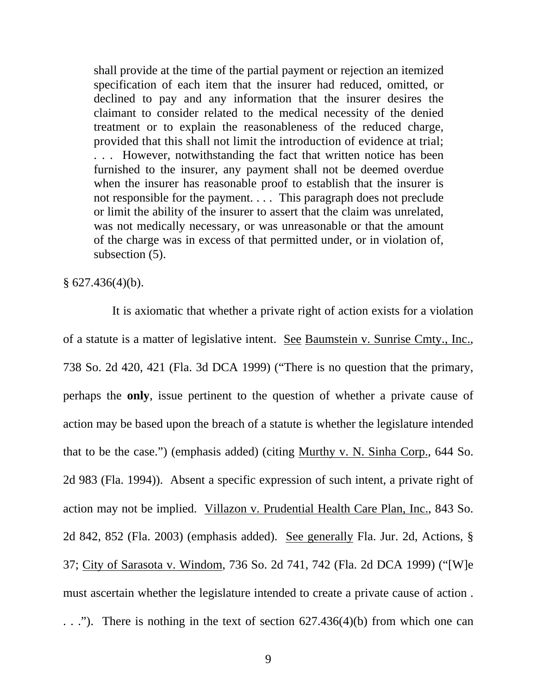shall provide at the time of the partial payment or rejection an itemized specification of each item that the insurer had reduced, omitted, or declined to pay and any information that the insurer desires the claimant to consider related to the medical necessity of the denied treatment or to explain the reasonableness of the reduced charge, provided that this shall not limit the introduction of evidence at trial; . . . However, notwithstanding the fact that written notice has been furnished to the insurer, any payment shall not be deemed overdue when the insurer has reasonable proof to establish that the insurer is not responsible for the payment. . . . This paragraph does not preclude or limit the ability of the insurer to assert that the claim was unrelated, was not medically necessary, or was unreasonable or that the amount of the charge was in excess of that permitted under, or in violation of, subsection (5).

## $§ 627.436(4)(b).$

 It is axiomatic that whether a private right of action exists for a violation of a statute is a matter of legislative intent. See Baumstein v. Sunrise Cmty., Inc., 738 So. 2d 420, 421 (Fla. 3d DCA 1999) ("There is no question that the primary, perhaps the **only**, issue pertinent to the question of whether a private cause of action may be based upon the breach of a statute is whether the legislature intended that to be the case.") (emphasis added) (citing Murthy v. N. Sinha Corp., 644 So. 2d 983 (Fla. 1994)). Absent a specific expression of such intent, a private right of action may not be implied. Villazon v. Prudential Health Care Plan, Inc., 843 So. 2d 842, 852 (Fla. 2003) (emphasis added). See generally Fla. Jur. 2d, Actions, § 37; City of Sarasota v. Windom, 736 So. 2d 741, 742 (Fla. 2d DCA 1999) ("[W]e must ascertain whether the legislature intended to create a private cause of action .  $\ldots$ "). There is nothing in the text of section 627.436(4)(b) from which one can